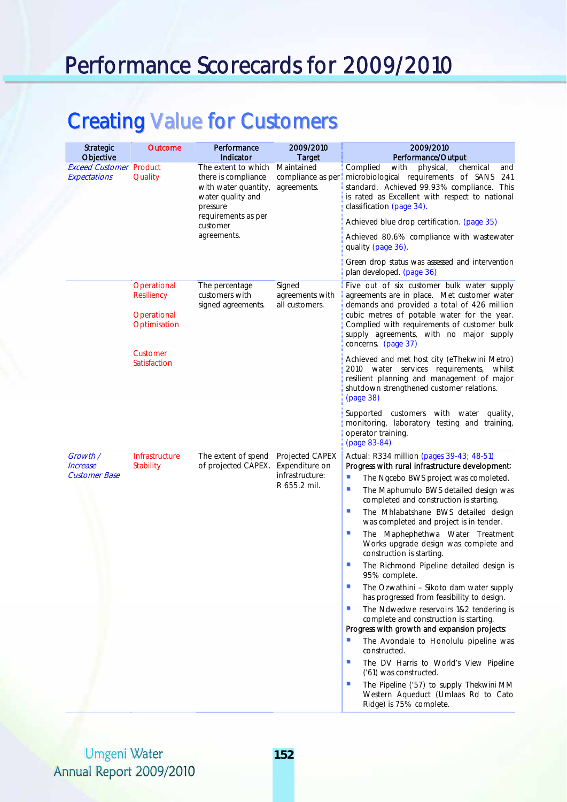# Performance Scorecards for 2009/2010

# Creating Value for Customers

|  | <b>Strategic</b><br>Objective                  | <b>Outcome</b>                            | Performance<br>Indicator                                                                                                                              | 2009/2010<br><b>Target</b>                                           | 2009/2010<br>Performance/Output                                                                                                                                                                                              |
|--|------------------------------------------------|-------------------------------------------|-------------------------------------------------------------------------------------------------------------------------------------------------------|----------------------------------------------------------------------|------------------------------------------------------------------------------------------------------------------------------------------------------------------------------------------------------------------------------|
|  | <b>Exceed Customer Product</b><br>Expectations | Quality                                   | The extent to which<br>there is compliance<br>with water quantity,<br>water quality and<br>pressure<br>requirements as per<br>customer<br>agreements. | Maintained<br>compliance as per<br>agreements.                       | Complied<br>with<br>physical,<br>chemical<br>and<br>microbiological requirements of SANS<br>241<br>standard. Achieved 99.93% compliance. This<br>is rated as Excellent with respect to national<br>classification (page 34). |
|  |                                                |                                           |                                                                                                                                                       |                                                                      | Achieved blue drop certification. (page 35)<br>Achieved 80.6% compliance with wastewater                                                                                                                                     |
|  |                                                |                                           |                                                                                                                                                       |                                                                      | quality (page 36).                                                                                                                                                                                                           |
|  |                                                |                                           |                                                                                                                                                       |                                                                      | Green drop status was assessed and intervention<br>plan developed. (page 36)                                                                                                                                                 |
|  |                                                | Operational<br>Resiliency<br>Operational  | The percentage<br>customers with<br>signed agreements.                                                                                                | Signed<br>agreements with<br>all customers.                          | Five out of six customer bulk water supply<br>agreements are in place. Met customer water<br>demands and provided a total of 426 million<br>cubic metres of potable water for the year.                                      |
|  |                                                | Optimisation                              |                                                                                                                                                       |                                                                      | Complied with requirements of customer bulk<br>supply agreements, with no major supply<br>concerns. (page 37)                                                                                                                |
|  |                                                | Customer<br>Satisfaction                  |                                                                                                                                                       |                                                                      | Achieved and met host city (eThekwini Metro)<br>2010 water services requirements, whilst<br>resilient planning and management of major<br>shutdown strengthened customer relations.<br>(page 38)                             |
|  |                                                |                                           |                                                                                                                                                       |                                                                      | Supported customers with water quality,<br>monitoring, laboratory testing and training,<br>operator training.<br>(page 83-84)                                                                                                |
|  | Growth /<br>Increase<br><b>Customer Base</b>   | <b>Infrastructure</b><br><b>Stability</b> | The extent of spend<br>of projected CAPEX.                                                                                                            | Projected CAPEX<br>Expenditure on<br>infrastructure:<br>R 655.2 mil. | Actual: R334 million (pages 39-43; 48-51)<br>Progress with rural infrastructure development:                                                                                                                                 |
|  |                                                |                                           |                                                                                                                                                       |                                                                      | $\blacksquare$<br>The Ngcebo BWS project was completed.<br>$\blacksquare$<br>The Maphumulo BWS detailed design was<br>completed and construction is starting.                                                                |
|  |                                                |                                           |                                                                                                                                                       |                                                                      | $\blacksquare$<br>The Mhlabatshane BWS detailed design<br>was completed and project is in tender.                                                                                                                            |
|  |                                                |                                           |                                                                                                                                                       |                                                                      | $\mathbf{r}$<br>The Maphephethwa Water Treatment<br>Works upgrade design was complete and<br>construction is starting.                                                                                                       |
|  |                                                |                                           |                                                                                                                                                       |                                                                      | ۰<br>The Richmond Pipeline detailed design is<br>95% complete.                                                                                                                                                               |
|  |                                                |                                           |                                                                                                                                                       |                                                                      | The Ozwathini - Sikoto dam water supply<br>ш<br>has progressed from feasibility to design.                                                                                                                                   |
|  |                                                |                                           |                                                                                                                                                       |                                                                      | $\mathbf{r}$<br>The Ndwedwe reservoirs 1&2 tendering is<br>complete and construction is starting.<br>Progress with growth and expansion projects:                                                                            |
|  |                                                |                                           |                                                                                                                                                       |                                                                      | $\blacksquare$<br>The Avondale to Honolulu pipeline was<br>constructed.                                                                                                                                                      |
|  |                                                |                                           |                                                                                                                                                       |                                                                      | a.<br>The DV Harris to World's View Pipeline<br>('61) was constructed.                                                                                                                                                       |
|  |                                                |                                           |                                                                                                                                                       |                                                                      | a.<br>The Pipeline ('57) to supply Thekwini MM<br>Western Aqueduct (Umlaas Rd to Cato<br>Ridge) is 75% complete.                                                                                                             |

#### **Umgeni Water** Annual Report 2009/2010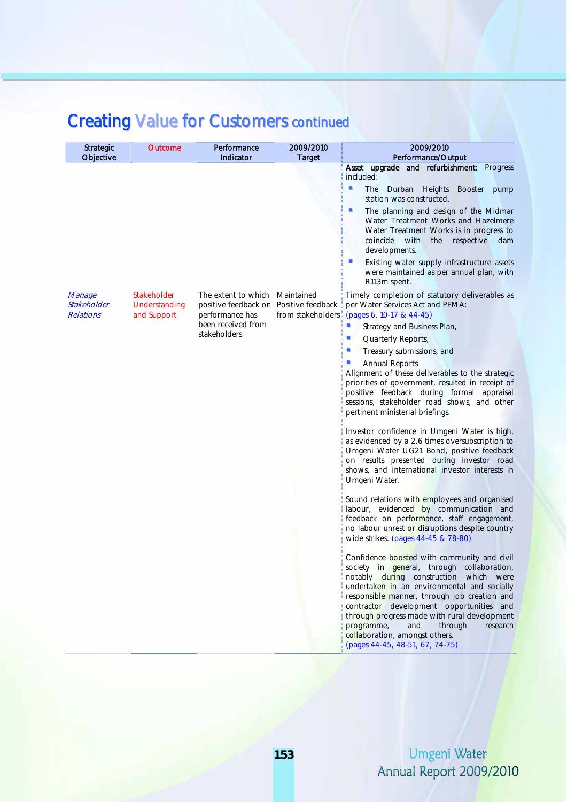| <b>Strategic</b><br>Objective             | <b>Outcome</b>                              | Performance<br>Indicator                                                         | 2009/2010<br><b>Target</b>      | 2009/2010<br>Performance/Output                                                                                                                                                                                                                                                                                                                                                                                                                 |
|-------------------------------------------|---------------------------------------------|----------------------------------------------------------------------------------|---------------------------------|-------------------------------------------------------------------------------------------------------------------------------------------------------------------------------------------------------------------------------------------------------------------------------------------------------------------------------------------------------------------------------------------------------------------------------------------------|
|                                           |                                             |                                                                                  |                                 | Asset upgrade and refurbishment: Progress<br>included:                                                                                                                                                                                                                                                                                                                                                                                          |
|                                           |                                             |                                                                                  |                                 | ш<br><b>The</b><br>Durban Heights Booster<br>pump<br>station was constructed,                                                                                                                                                                                                                                                                                                                                                                   |
|                                           |                                             |                                                                                  |                                 | $\mathcal{L}$<br>The planning and design of the Midmar<br>Water Treatment Works and Hazelmere<br>Water Treatment Works is in progress to<br>coincide<br>with<br>respective<br>the<br>dam<br>developments.                                                                                                                                                                                                                                       |
|                                           |                                             |                                                                                  |                                 | ш<br>Existing water supply infrastructure assets<br>were maintained as per annual plan, with<br>R113m spent.                                                                                                                                                                                                                                                                                                                                    |
| Manage<br>Stakeholder<br><b>Relations</b> | Stakeholder<br>Understanding<br>and Support | The extent to which<br>positive feedback on Positive feedback<br>performance has | Maintained<br>from stakeholders | Timely completion of statutory deliverables as<br>per Water Services Act and PFMA:<br>(pages 6, 10-17 & 44-45)                                                                                                                                                                                                                                                                                                                                  |
|                                           |                                             | been received from<br>stakeholders                                               |                                 | U,<br>Strategy and Business Plan,                                                                                                                                                                                                                                                                                                                                                                                                               |
|                                           |                                             |                                                                                  |                                 | u,<br>Quarterly Reports,                                                                                                                                                                                                                                                                                                                                                                                                                        |
|                                           |                                             |                                                                                  |                                 | ш<br>Treasury submissions, and<br>٠                                                                                                                                                                                                                                                                                                                                                                                                             |
|                                           |                                             |                                                                                  |                                 | <b>Annual Reports</b><br>Alignment of these deliverables to the strategic<br>priorities of government, resulted in receipt of<br>positive feedback during formal appraisal<br>sessions, stakeholder road shows, and other<br>pertinent ministerial briefings.                                                                                                                                                                                   |
|                                           |                                             |                                                                                  |                                 | Investor confidence in Umgeni Water is high,<br>as evidenced by a 2.6 times oversubscription to<br>Umgeni Water UG21 Bond, positive feedback<br>on results presented during investor road<br>shows, and international investor interests in<br>Umgeni Water.                                                                                                                                                                                    |
|                                           |                                             |                                                                                  |                                 | Sound relations with employees and organised<br>labour, evidenced by communication and<br>feedback on performance, staff engagement,<br>no labour unrest or disruptions despite country<br>wide strikes. (pages 44-45 & 78-80)                                                                                                                                                                                                                  |
|                                           |                                             |                                                                                  |                                 | Confidence boosted with community and civil<br>society in general, through collaboration,<br>notably during construction which were<br>undertaken in an environmental and socially<br>responsible manner, through job creation and<br>contractor development opportunities and<br>through progress made with rural development<br>programme,<br>through<br>and<br>research<br>collaboration, amongst others.<br>(pages 44-45, 48-51, 67, 74-75) |

### Creating Value for Customers continued

Umgeni Water Annual Report 2009/2010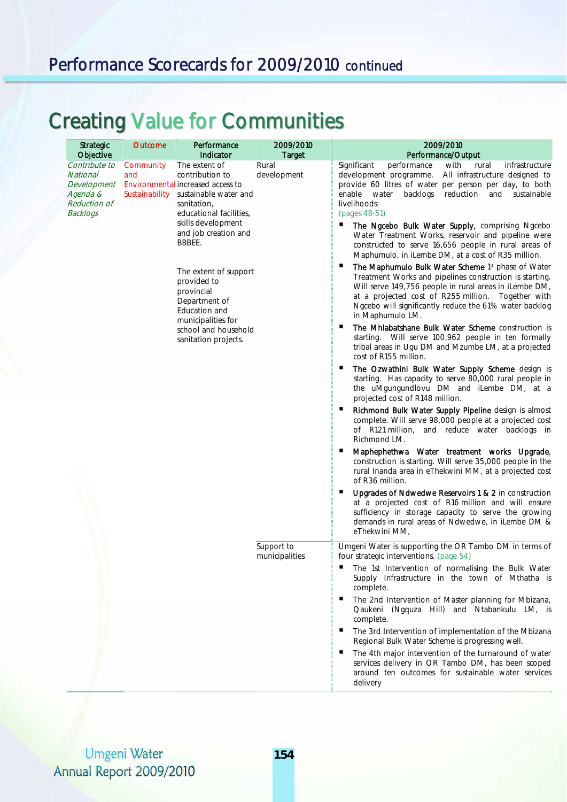### Performance Scorecards for 2009/2010 continued

# Creating Value for Communities

|  | Strategic<br>Performance<br><b>Outcome</b><br>Objective<br>Indicator                           |                                    | 2009/2010<br><b>Target</b>                                                                                                               | 2009/2010<br>Performance/Output |                                                                                                                                                                                                                                                                                                             |  |
|--|------------------------------------------------------------------------------------------------|------------------------------------|------------------------------------------------------------------------------------------------------------------------------------------|---------------------------------|-------------------------------------------------------------------------------------------------------------------------------------------------------------------------------------------------------------------------------------------------------------------------------------------------------------|--|
|  | Contribute to<br>National<br>Development<br>Agenda &<br><b>Reduction of</b><br><b>Backlogs</b> | Community<br>and<br>Sustainability | The extent of<br>contribution to<br>Environmental increased access to<br>sustainable water and<br>sanitation,<br>educational facilities, | Rural<br>development            | Significant<br>performance<br>with<br>rural<br>infrastructure<br>development programme.<br>All infrastructure designed to<br>provide 60 litres of water per person per day, to both<br>enable water<br>backlogs<br>reduction<br>and<br>sustainable<br>livelihoods:<br>(pages 48-51)                         |  |
|  |                                                                                                |                                    | skills development<br>and job creation and<br>BBBEE.                                                                                     |                                 | The Ngcebo Bulk Water Supply, comprising Ngcebo<br>Water Treatment Works, reservoir and pipeline were<br>constructed to serve 16,656 people in rural areas of<br>Maphumulo, in iLembe DM, at a cost of R35 million.                                                                                         |  |
|  |                                                                                                |                                    | The extent of support<br>provided to<br>provincial<br>Department of<br>Education and<br>municipalities for                               |                                 | The Maphumulo Bulk Water Scheme 1st phase of Water<br>Treatment Works and pipelines construction is starting.<br>Will serve 149,756 people in rural areas in iLembe DM,<br>at a projected cost of R255 million. Together with<br>Ngcebo will significantly reduce the 61% water backlog<br>in Maphumulo LM. |  |
|  |                                                                                                |                                    | school and household<br>sanitation projects.                                                                                             |                                 | The Mhlabatshane Bulk Water Scheme construction is<br>starting. Will serve 100,962 people in ten formally<br>tribal areas in Ugu DM and Mzumbe LM, at a projected<br>cost of R155 million.                                                                                                                  |  |
|  |                                                                                                |                                    |                                                                                                                                          |                                 | The Ozwathini Bulk Water Supply Scheme design is<br>starting. Has capacity to serve 80,000 rural people in<br>the uMgungundlovu DM and iLembe DM, at a<br>projected cost of R148 million.                                                                                                                   |  |
|  |                                                                                                |                                    |                                                                                                                                          |                                 | Richmond Bulk Water Supply Pipeline design is almost<br>complete. Will serve 98,000 people at a projected cost<br>of R121 million, and reduce water backlogs in<br>Richmond LM.                                                                                                                             |  |
|  |                                                                                                |                                    |                                                                                                                                          |                                 | п<br>Maphephethwa Water treatment works Upgrade,<br>construction is starting. Will serve 35,000 people in the<br>rural Inanda area in eThekwini MM, at a projected cost<br>of R36 million.                                                                                                                  |  |
|  |                                                                                                |                                    |                                                                                                                                          |                                 | Upgrades of Ndwedwe Reservoirs 1 & 2 in construction<br>at a projected cost of R16 million and will ensure<br>sufficiency in storage capacity to serve the growing<br>demands in rural areas of Ndwedwe, in iLembe DM &<br>eThekwini MM,                                                                    |  |
|  |                                                                                                |                                    |                                                                                                                                          | Support to<br>municipalities    | Umgeni Water is supporting the OR Tambo DM in terms of<br>four strategic interventions. (page 54)                                                                                                                                                                                                           |  |
|  |                                                                                                |                                    |                                                                                                                                          |                                 | The 1st Intervention of normalising the Bulk Water<br>Supply Infrastructure in the town of Mthatha is<br>complete.                                                                                                                                                                                          |  |
|  |                                                                                                |                                    |                                                                                                                                          |                                 | The 2nd Intervention of Master planning for Mbizana,<br>Qaukeni (Ngquza Hill) and Ntabankulu LM, is<br>complete.                                                                                                                                                                                            |  |
|  |                                                                                                |                                    |                                                                                                                                          |                                 | The 3rd Intervention of implementation of the Mbizana<br>Regional Bulk Water Scheme is progressing well.                                                                                                                                                                                                    |  |
|  |                                                                                                |                                    |                                                                                                                                          |                                 | The 4th major intervention of the turnaround of water<br>services delivery in OR Tambo DM, has been scoped<br>around ten outcomes for sustainable water services<br>delivery                                                                                                                                |  |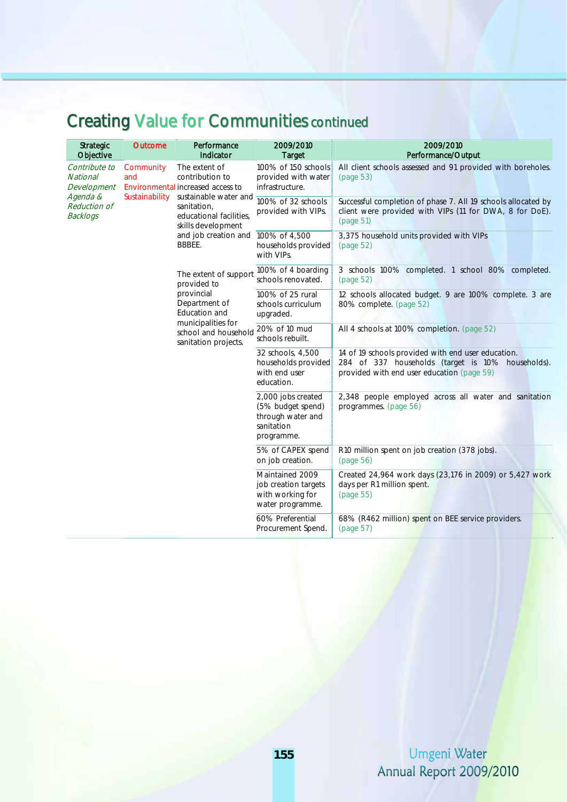### Creating Value for Communities continued

| <b>Strategic</b><br>Objective                      | <b>Outcome</b>   | Performance<br>Indicator                                                                                                                                                                         | 2009/2010<br><b>Target</b>                                                               | 2009/2010<br>Performance/Output                                                                                                                       |
|----------------------------------------------------|------------------|--------------------------------------------------------------------------------------------------------------------------------------------------------------------------------------------------|------------------------------------------------------------------------------------------|-------------------------------------------------------------------------------------------------------------------------------------------------------|
| Contribute to<br><b>National</b><br>Development    | Community<br>and | The extent of<br>contribution to<br>Environmental increased access to<br>sustainable water and<br>sanitation,<br>educational facilities,<br>skills development<br>and job creation and<br>BBBEE. | 100% of 150 schools<br>provided with water<br>infrastructure.                            | All client schools assessed and 91 provided with boreholes.<br>(page 53)                                                                              |
| Agenda &<br><b>Reduction of</b><br><b>Backlogs</b> | Sustainability   |                                                                                                                                                                                                  | 100% of 32 schools<br>provided with VIPs.                                                | Successful completion of phase 7. All 19 schools allocated by<br>client were provided with VIPs (11 for DWA, 8 for DoE).<br>(page 51)                 |
|                                                    |                  |                                                                                                                                                                                                  | 100% of 4,500<br>households provided<br>with VIPs.                                       | 3,375 household units provided with VIPs<br>(page 52)                                                                                                 |
|                                                    |                  | The extent of support<br>provided to<br>provincial<br>Department of<br>Education and<br>municipalities for<br>school and household<br>sanitation projects.                                       | 100% of 4 boarding<br>schools renovated.                                                 | 3 schools 100% completed. 1 school 80% completed.<br>(page 52)                                                                                        |
|                                                    |                  |                                                                                                                                                                                                  | 100% of 25 rural<br>schools curriculum<br>upgraded.                                      | 12 schools allocated budget. 9 are 100% complete. 3 are<br>80% complete. (page 52)                                                                    |
|                                                    |                  |                                                                                                                                                                                                  | 20% of 10 mud<br>schools rebuilt.                                                        | All 4 schools at 100% completion. (page 52)                                                                                                           |
|                                                    |                  |                                                                                                                                                                                                  | 32 schools, 4,500<br>households provided<br>with end user<br>education.                  | 14 of 19 schools provided with end user education.<br>284 of 337 households (target is 10% households).<br>provided with end user education (page 59) |
|                                                    |                  |                                                                                                                                                                                                  | 2,000 jobs created<br>(5% budget spend)<br>through water and<br>sanitation<br>programme. | 2,348 people employed across all water and sanitation<br>programmes. (page 56)                                                                        |
|                                                    |                  |                                                                                                                                                                                                  | 5% of CAPEX spend<br>on job creation.                                                    | R10 million spent on job creation (378 jobs).<br>(page 56)                                                                                            |
|                                                    |                  |                                                                                                                                                                                                  | Maintained 2009<br>job creation targets<br>with working for<br>water programme.          | Created 24,964 work days (23,176 in 2009) or 5,427 work<br>days per R1 million spent.<br>(page 55)                                                    |
|                                                    |                  |                                                                                                                                                                                                  | 60% Preferential<br>Procurement Spend.                                                   | 68% (R462 million) spent on BEE service providers.<br>(page 57)                                                                                       |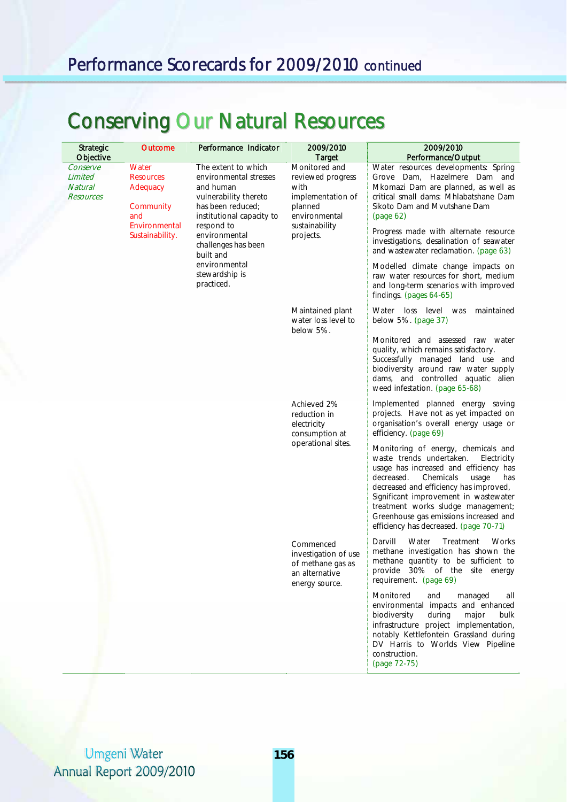### Performance Scorecards for 2009/2010 continued

# Conserving Our Natural Resources

| <b>Strategic</b><br>Objective                      | Outcome                                                                                       | Performance Indicator                                                                                                                                                | 2009/2010<br><b>Target</b>                                                                                                 | 2009/2010<br>Performance/Output                                                                                                                                                                                                                                                                                                                                                  |
|----------------------------------------------------|-----------------------------------------------------------------------------------------------|----------------------------------------------------------------------------------------------------------------------------------------------------------------------|----------------------------------------------------------------------------------------------------------------------------|----------------------------------------------------------------------------------------------------------------------------------------------------------------------------------------------------------------------------------------------------------------------------------------------------------------------------------------------------------------------------------|
| Conserve<br>Limited<br><b>Natural</b><br>Resources | Water<br><b>Resources</b><br>Adequacy<br>Community<br>and<br>Environmental<br>Sustainability. | The extent to which<br>environmental stresses<br>and human<br>vulnerability thereto<br>has been reduced;<br>institutional capacity to<br>respond to<br>environmental | Monitored and<br>reviewed progress<br>with<br>implementation of<br>planned<br>environmental<br>sustainability<br>projects. | Water resources developments: Spring<br>Grove Dam, Hazelmere Dam and<br>Mkomazi Dam are planned, as well as<br>critical small dams: Mhlabatshane Dam<br>Sikoto Dam and Mvutshane Dam<br>(page 62)<br>Progress made with alternate resource                                                                                                                                       |
|                                                    |                                                                                               | challenges has been<br>built and<br>environmental<br>stewardship is<br>practiced.                                                                                    |                                                                                                                            | investigations, desalination of seawater<br>and wastewater reclamation. (page 63)<br>Modelled climate change impacts on<br>raw water resources for short, medium<br>and long-term scenarios with improved<br>findings. (pages 64-65)                                                                                                                                             |
|                                                    |                                                                                               |                                                                                                                                                                      | Maintained plant<br>water loss level to                                                                                    | Water loss level was<br>maintained<br>below 5%. (page 37)                                                                                                                                                                                                                                                                                                                        |
|                                                    |                                                                                               |                                                                                                                                                                      | below 5%.                                                                                                                  | Monitored and assessed raw water<br>quality, which remains satisfactory.<br>Successfully managed land use and<br>biodiversity around raw water supply<br>dams, and controlled aquatic alien<br>weed infestation. (page 65-68)                                                                                                                                                    |
|                                                    |                                                                                               |                                                                                                                                                                      | Achieved 2%<br>reduction in<br>electricity<br>consumption at                                                               | Implemented planned energy saving<br>projects. Have not as yet impacted on<br>organisation's overall energy usage or<br>efficiency. (page 69)                                                                                                                                                                                                                                    |
|                                                    |                                                                                               |                                                                                                                                                                      | operational sites.                                                                                                         | Monitoring of energy, chemicals and<br>waste trends undertaken.<br>Electricity<br>usage has increased and efficiency has<br>decreased.<br>Chemicals<br>usage<br>has<br>decreased and efficiency has improved,<br>Significant improvement in wastewater<br>treatment works sludge management;<br>Greenhouse gas emissions increased and<br>efficiency has decreased. (page 70-71) |
|                                                    |                                                                                               |                                                                                                                                                                      | Commenced<br>investigation of use<br>of methane gas as<br>an alternative<br>energy source.                                 | Darvill<br>Water<br>Treatment<br>Works<br>methane investigation has shown the<br>methane quantity to be sufficient to<br>provide 30% of the site energy<br>requirement. (page 69)                                                                                                                                                                                                |
|                                                    |                                                                                               |                                                                                                                                                                      |                                                                                                                            | Monitored<br>and<br>managed<br>all<br>environmental impacts and enhanced<br>biodiversity<br>during<br>major<br>bulk<br>infrastructure project implementation,<br>notably Kettlefontein Grassland during<br>DV Harris to Worlds View Pipeline<br>construction.<br>(page 72-75)                                                                                                    |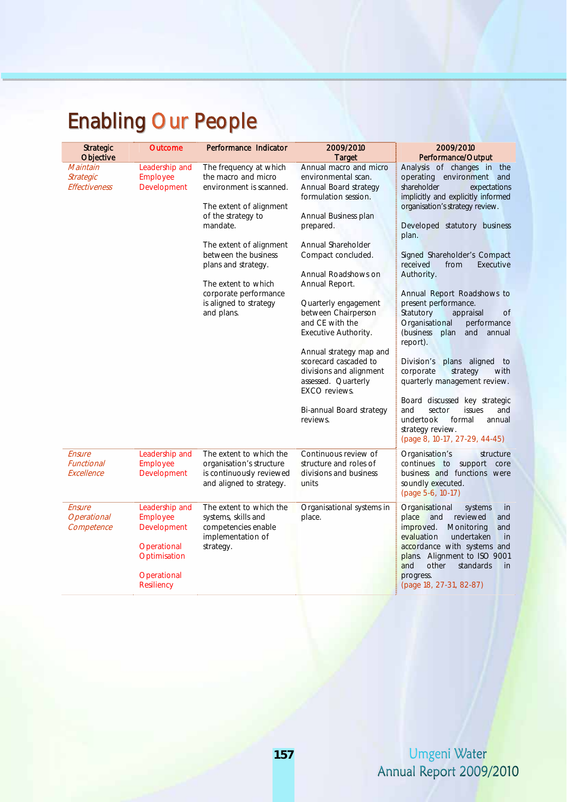# Enabling Our People

| <b>Strategic</b><br>Objective              | <b>Outcome</b>                                                                                               | Performance Indicator                                                                                                                                                                                                                                                                                   | 2009/2010<br><b>Target</b>                                                                                                                                                                                                                                                                                                                                                                                                                                                               | 2009/2010<br>Performance/Output                                                                                                                                                                                                                                                                                                                                                                                                                                                                                                                                                                                                                                                                                                 |
|--------------------------------------------|--------------------------------------------------------------------------------------------------------------|---------------------------------------------------------------------------------------------------------------------------------------------------------------------------------------------------------------------------------------------------------------------------------------------------------|------------------------------------------------------------------------------------------------------------------------------------------------------------------------------------------------------------------------------------------------------------------------------------------------------------------------------------------------------------------------------------------------------------------------------------------------------------------------------------------|---------------------------------------------------------------------------------------------------------------------------------------------------------------------------------------------------------------------------------------------------------------------------------------------------------------------------------------------------------------------------------------------------------------------------------------------------------------------------------------------------------------------------------------------------------------------------------------------------------------------------------------------------------------------------------------------------------------------------------|
| Maintain<br>Strategic<br>Effectiveness     | Leadership and<br>Employee<br>Development                                                                    | The frequency at which<br>the macro and micro<br>environment is scanned.<br>The extent of alignment<br>of the strategy to<br>mandate.<br>The extent of alignment<br>between the business<br>plans and strategy.<br>The extent to which<br>corporate performance<br>is aligned to strategy<br>and plans. | Annual macro and micro<br>environmental scan.<br>Annual Board strategy<br>formulation session.<br>Annual Business plan<br>prepared.<br>Annual Shareholder<br>Compact concluded.<br>Annual Roadshows on<br>Annual Report.<br>Quarterly engagement<br>between Chairperson<br>and CE with the<br>Executive Authority.<br>Annual strategy map and<br>scorecard cascaded to<br>divisions and alignment<br>assessed. Quarterly<br><b>EXCO</b> reviews.<br>Bi-annual Board strategy<br>reviews. | Analysis of changes in the<br>operating environment and<br>shareholder<br>expectations<br>implicitly and explicitly informed<br>organisation's strategy review.<br>Developed statutory business<br>plan.<br>Signed Shareholder's Compact<br>received<br>from<br>Executive<br>Authority.<br>Annual Report Roadshows to<br>present performance.<br>Statutory<br>appraisal<br>0f<br>Organisational<br>performance<br>(business<br>plan<br>and<br>annual<br>report).<br>Division's<br>plans aligned<br>to<br>corporate<br>strategy<br>with<br>quarterly management review.<br>Board discussed key strategic<br>and<br>sector<br>issues<br>and<br>undertook<br>formal<br>annual<br>strategy review.<br>(page 8, 10-17, 27-29, 44-45) |
| Ensure<br>Functional<br>Excellence         | Leadership and<br>Employee<br>Development                                                                    | The extent to which the<br>organisation's structure<br>is continuously reviewed<br>and aligned to strategy.                                                                                                                                                                                             | Continuous review of<br>structure and roles of<br>divisions and business<br>units                                                                                                                                                                                                                                                                                                                                                                                                        | Organisation's<br>structure<br>continues to support<br>core<br>business and functions were<br>soundly executed.<br>(page 5-6, 10-17)                                                                                                                                                                                                                                                                                                                                                                                                                                                                                                                                                                                            |
| Ensure<br><b>Operational</b><br>Competence | Leadership and<br>Employee<br>Development<br>Operational<br>Optimisation<br>Operational<br><b>Resiliency</b> | The extent to which the<br>systems, skills and<br>competencies enable<br>implementation of<br>strategy.                                                                                                                                                                                                 | Organisational systems in<br>place.                                                                                                                                                                                                                                                                                                                                                                                                                                                      | Organisational<br>systems<br>in<br>place<br>reviewed<br>and<br>and<br>improved.<br>Monitoring<br>and<br>evaluation<br>undertaken<br>in<br>accordance with systems and<br>plans. Alignment to ISO 9001<br>and<br>other<br>standards<br>in<br>progress.<br>(page 18, 27-31, 82-87)                                                                                                                                                                                                                                                                                                                                                                                                                                                |